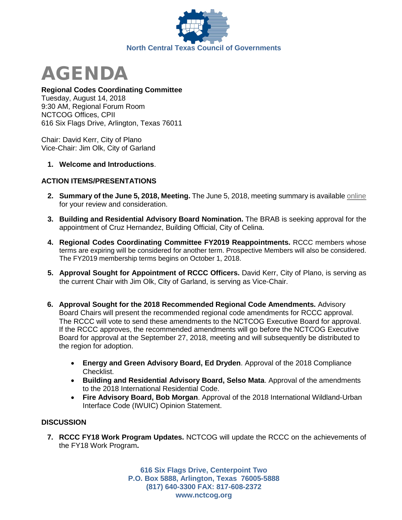



## **Regional Codes Coordinating Committee**

Tuesday, August 14, 2018 9:30 AM, Regional Forum Room NCTCOG Offices, CPII 616 Six Flags Drive, Arlington, Texas 76011

Chair: David Kerr, City of Plano Vice-Chair: Jim Olk, City of Garland

**1. Welcome and Introductions**.

# **ACTION ITEMS/PRESENTATIONS**

- **2. Summary of the June 5, 2018, Meeting.** The June 5, 2018, meeting summary is available [online](https://www.nctcog.org/nctcg/media/Environment-and-Development/Committee%20Documents/RCC/FY2018/RCCC_Summary_06-5-18-DRAFT-2.pdf?ext=.pdf) for your review and consideration.
- **3. Building and Residential Advisory Board Nomination.** The BRAB is seeking approval for the appointment of Cruz Hernandez, Building Official, City of Celina.
- **4. Regional Codes Coordinating Committee FY2019 Reappointments.** RCCC members whose terms are expiring will be considered for another term. Prospective Members will also be considered. The FY2019 membership terms begins on October 1, 2018.
- **5. Approval Sought for Appointment of RCCC Officers.** David Kerr, City of Plano, is serving as the current Chair with Jim Olk, City of Garland, is serving as Vice-Chair.
- **6. Approval Sought for the 2018 Recommended Regional Code Amendments.** Advisory Board Chairs will present the recommended regional code amendments for RCCC approval. The RCCC will vote to send these amendments to the NCTCOG Executive Board for approval. If the RCCC approves, the recommended amendments will go before the NCTCOG Executive Board for approval at the September 27, 2018, meeting and will subsequently be distributed to the region for adoption.
	- **Energy and Green Advisory Board, Ed Dryden**. Approval of the 2018 Compliance Checklist.
	- **Building and Residential Advisory Board, Selso Mata**. Approval of the amendments to the 2018 International Residential Code.
	- **Fire Advisory Board, Bob Morgan**. Approval of the 2018 International Wildland-Urban Interface Code (IWUIC) Opinion Statement.

## **DISCUSSION**

**7. RCCC FY18 Work Program Updates.** NCTCOG will update the RCCC on the achievements of the FY18 Work Program**.** 

> **616 Six Flags Drive, Centerpoint Two P.O. Box 5888, Arlington, Texas 76005-5888 (817) 640-3300 FAX: 817-608-2372 www.nctcog.org**